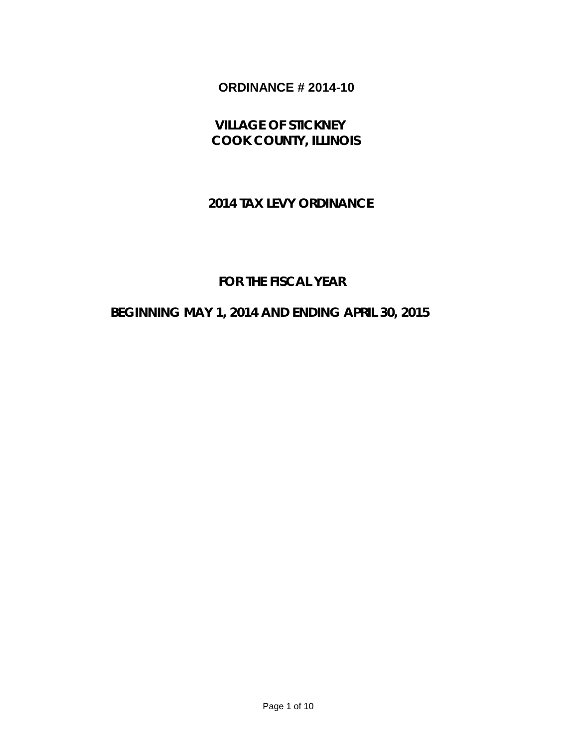# **ORDINANCE # 2014-10**

# **VILLAGE OF STICKNEY COOK COUNTY, ILLINOIS**

## **2014 TAX LEVY ORDINANCE**

## **FOR THE FISCAL YEAR**

## **BEGINNING MAY 1, 2014 AND ENDING APRIL 30, 2015**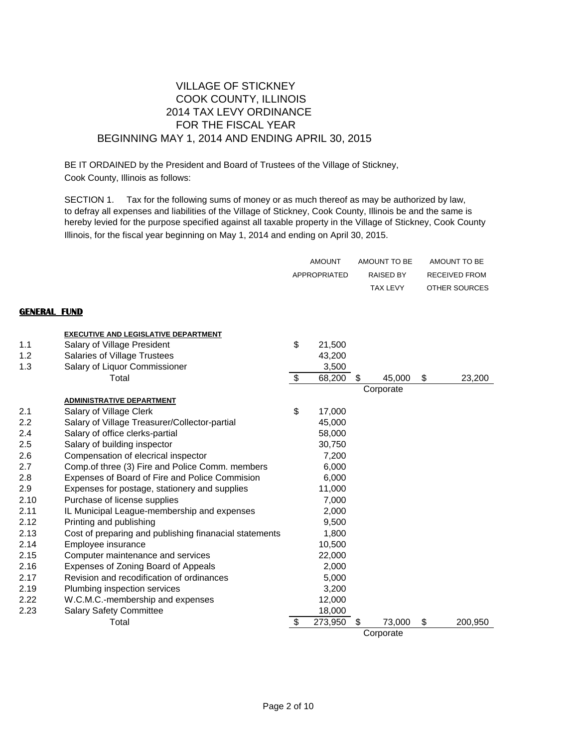### VILLAGE OF STICKNEY COOK COUNTY, ILLINOIS 2014 TAX LEVY ORDINANCE FOR THE FISCAL YEAR BEGINNING MAY 1, 2014 AND ENDING APRIL 30, 2015

BE IT ORDAINED by the President and Board of Trustees of the Village of Stickney, Cook County, Illinois as follows:

SECTION 1. Tax for the following sums of money or as much thereof as may be authorized by law, to defray all expenses and liabilities of the Village of Stickney, Cook County, Illinois be and the same is hereby levied for the purpose specified against all taxable property in the Village of Stickney, Cook County Illinois, for the fiscal year beginning on May 1, 2014 and ending on April 30, 2015.

|                     |                                                        | <b>AMOUNT</b>           |              |    | AMOUNT TO BE     |    | AMOUNT TO BE         |
|---------------------|--------------------------------------------------------|-------------------------|--------------|----|------------------|----|----------------------|
|                     |                                                        |                         | APPROPRIATED |    | <b>RAISED BY</b> |    | <b>RECEIVED FROM</b> |
|                     |                                                        |                         |              |    | <b>TAX LEVY</b>  |    | OTHER SOURCES        |
|                     |                                                        |                         |              |    |                  |    |                      |
| <b>GENERAL FUND</b> |                                                        |                         |              |    |                  |    |                      |
|                     | <b>EXECUTIVE AND LEGISLATIVE DEPARTMENT</b>            |                         |              |    |                  |    |                      |
| 1.1                 | Salary of Village President                            | \$                      | 21,500       |    |                  |    |                      |
| 1.2                 | Salaries of Village Trustees                           |                         | 43,200       |    |                  |    |                      |
| 1.3                 | Salary of Liquor Commissioner                          |                         | 3,500        |    |                  |    |                      |
|                     | Total                                                  | $\sqrt[6]{\frac{1}{2}}$ | 68,200       | S  | 45,000           | \$ | 23,200               |
|                     |                                                        |                         |              |    | Corporate        |    |                      |
|                     | <b>ADMINISTRATIVE DEPARTMENT</b>                       |                         |              |    |                  |    |                      |
| 2.1                 | Salary of Village Clerk                                | \$                      | 17,000       |    |                  |    |                      |
| 2.2                 | Salary of Village Treasurer/Collector-partial          |                         | 45,000       |    |                  |    |                      |
| 2.4                 | Salary of office clerks-partial                        |                         | 58,000       |    |                  |    |                      |
| 2.5                 | Salary of building inspector                           |                         | 30,750       |    |                  |    |                      |
| 2.6                 | Compensation of elecrical inspector                    |                         | 7,200        |    |                  |    |                      |
| 2.7                 | Comp.of three (3) Fire and Police Comm. members        |                         | 6,000        |    |                  |    |                      |
| 2.8                 | Expenses of Board of Fire and Police Commision         |                         | 6,000        |    |                  |    |                      |
| 2.9                 | Expenses for postage, stationery and supplies          |                         | 11,000       |    |                  |    |                      |
| 2.10                | Purchase of license supplies                           |                         | 7,000        |    |                  |    |                      |
| 2.11                | IL Municipal League-membership and expenses            |                         | 2,000        |    |                  |    |                      |
| 2.12                | Printing and publishing                                |                         | 9,500        |    |                  |    |                      |
| 2.13                | Cost of preparing and publishing finanacial statements |                         | 1,800        |    |                  |    |                      |
| 2.14                | Employee insurance                                     |                         | 10,500       |    |                  |    |                      |
| 2.15                | Computer maintenance and services                      |                         | 22,000       |    |                  |    |                      |
| 2.16                | Expenses of Zoning Board of Appeals                    |                         | 2,000        |    |                  |    |                      |
| 2.17                | Revision and recodification of ordinances              |                         | 5,000        |    |                  |    |                      |
| 2.19                | Plumbing inspection services                           |                         | 3,200        |    |                  |    |                      |
| 2.22                | W.C.M.C.-membership and expenses                       |                         | 12,000       |    |                  |    |                      |
| 2.23                | <b>Salary Safety Committee</b>                         |                         | 18,000       |    |                  |    |                      |
|                     | Total                                                  | \$                      | 273,950      | \$ | 73,000           | \$ | 200,950              |
|                     |                                                        |                         |              |    | Corporate        |    |                      |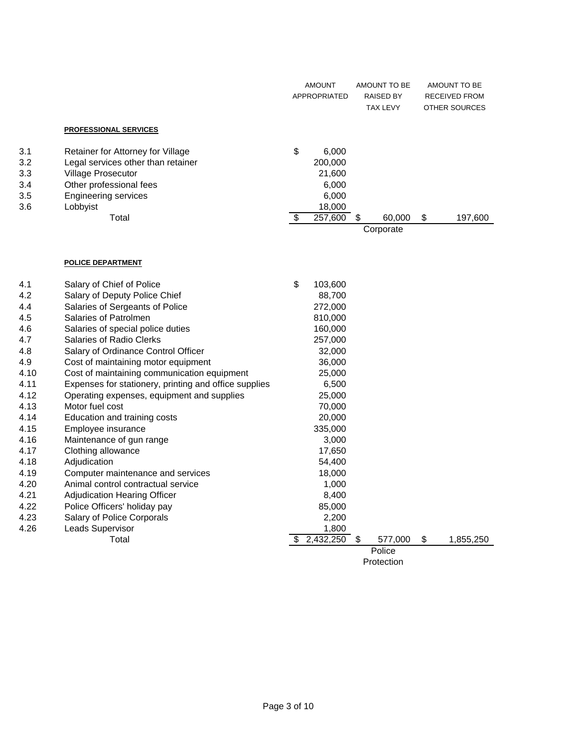|     |                                    | <b>AMOUNT</b><br>APPROPRIATED |   | AMOUNT TO BE<br><b>RAISED BY</b><br><b>TAX LEVY</b> | AMOUNT TO BE<br><b>RECEIVED FROM</b><br><b>OTHER SOURCES</b> |
|-----|------------------------------------|-------------------------------|---|-----------------------------------------------------|--------------------------------------------------------------|
|     | <b>PROFESSIONAL SERVICES</b>       |                               |   |                                                     |                                                              |
| 3.1 | Retainer for Attorney for Village  | \$<br>6,000                   |   |                                                     |                                                              |
| 3.2 | Legal services other than retainer | 200,000                       |   |                                                     |                                                              |
| 3.3 | Village Prosecutor                 | 21,600                        |   |                                                     |                                                              |
| 3.4 | Other professional fees            | 6,000                         |   |                                                     |                                                              |
| 3.5 | Engineering services               | 6,000                         |   |                                                     |                                                              |
| 3.6 | Lobbyist                           | 18,000                        |   |                                                     |                                                              |
|     | Total                              | 257,600                       | S | 60,000                                              | \$<br>197,600                                                |
|     |                                    |                               |   | Corporate                                           |                                                              |

#### **POLICE DEPARTMENT**

| 4.1  | Salary of Chief of Police                             | \$         | 103,600   |    |         |    |           |
|------|-------------------------------------------------------|------------|-----------|----|---------|----|-----------|
| 4.2  | Salary of Deputy Police Chief                         |            | 88,700    |    |         |    |           |
| 4.4  | Salaries of Sergeants of Police                       |            | 272,000   |    |         |    |           |
| 4.5  | Salaries of Patrolmen                                 |            | 810,000   |    |         |    |           |
| 4.6  | Salaries of special police duties                     |            | 160,000   |    |         |    |           |
| 4.7  | Salaries of Radio Clerks                              |            | 257,000   |    |         |    |           |
| 4.8  | Salary of Ordinance Control Officer                   |            | 32,000    |    |         |    |           |
| 4.9  | Cost of maintaining motor equipment                   |            | 36,000    |    |         |    |           |
| 4.10 | Cost of maintaining communication equipment           |            | 25,000    |    |         |    |           |
| 4.11 | Expenses for stationery, printing and office supplies |            | 6,500     |    |         |    |           |
| 4.12 | Operating expenses, equipment and supplies            |            | 25,000    |    |         |    |           |
| 4.13 | Motor fuel cost                                       |            | 70,000    |    |         |    |           |
| 4.14 | Education and training costs                          |            | 20,000    |    |         |    |           |
| 4.15 | Employee insurance                                    |            | 335,000   |    |         |    |           |
| 4.16 | Maintenance of gun range                              |            | 3,000     |    |         |    |           |
| 4.17 | Clothing allowance                                    |            | 17,650    |    |         |    |           |
| 4.18 | Adjudication                                          |            | 54,400    |    |         |    |           |
| 4.19 | Computer maintenance and services                     |            | 18,000    |    |         |    |           |
| 4.20 | Animal control contractual service                    |            | 1,000     |    |         |    |           |
| 4.21 | <b>Adjudication Hearing Officer</b>                   |            | 8,400     |    |         |    |           |
| 4.22 | Police Officers' holiday pay                          |            | 85,000    |    |         |    |           |
| 4.23 | Salary of Police Corporals                            |            | 2,200     |    |         |    |           |
| 4.26 | Leads Supervisor                                      |            | 1,800     |    |         |    |           |
|      | Total                                                 | \$         | 2,432,250 | \$ | 577,000 | \$ | 1,855,250 |
|      |                                                       |            |           |    | Police  |    |           |
|      |                                                       | Protection |           |    |         |    |           |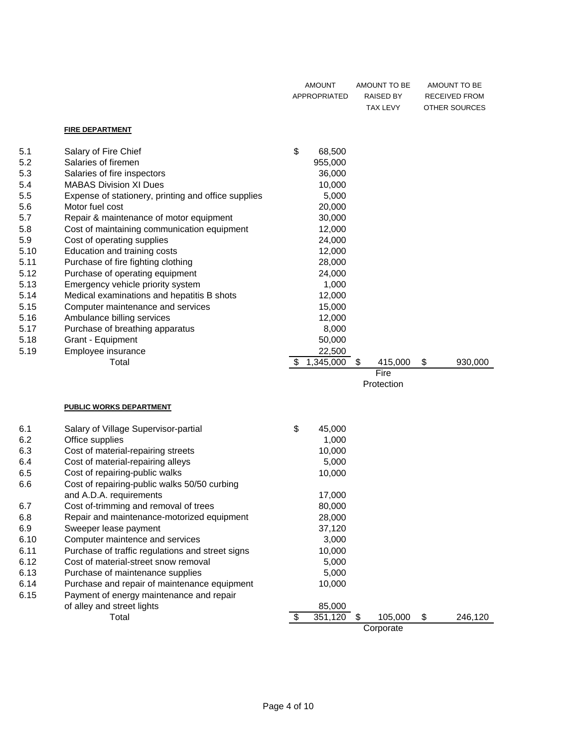|      |                                                     | AMOUNT<br><b>APPROPRIATED</b> |           | AMOUNT TO BE<br>RAISED BY<br><b>TAX LEVY</b> |    | AMOUNT TO BE<br><b>RECEIVED FROM</b><br>OTHER SOURCES |
|------|-----------------------------------------------------|-------------------------------|-----------|----------------------------------------------|----|-------------------------------------------------------|
|      | <b>FIRE DEPARTMENT</b>                              |                               |           |                                              |    |                                                       |
| 5.1  | Salary of Fire Chief                                | \$                            | 68,500    |                                              |    |                                                       |
| 5.2  | Salaries of firemen                                 |                               | 955,000   |                                              |    |                                                       |
| 5.3  | Salaries of fire inspectors                         |                               | 36,000    |                                              |    |                                                       |
| 5.4  | <b>MABAS Division XI Dues</b>                       |                               | 10,000    |                                              |    |                                                       |
| 5.5  | Expense of stationery, printing and office supplies |                               | 5,000     |                                              |    |                                                       |
| 5.6  | Motor fuel cost                                     |                               | 20,000    |                                              |    |                                                       |
| 5.7  | Repair & maintenance of motor equipment             |                               | 30,000    |                                              |    |                                                       |
| 5.8  | Cost of maintaining communication equipment         |                               | 12,000    |                                              |    |                                                       |
| 5.9  | Cost of operating supplies                          |                               | 24,000    |                                              |    |                                                       |
| 5.10 | Education and training costs                        |                               | 12,000    |                                              |    |                                                       |
| 5.11 | Purchase of fire fighting clothing                  |                               | 28,000    |                                              |    |                                                       |
| 5.12 | Purchase of operating equipment                     |                               | 24,000    |                                              |    |                                                       |
| 5.13 | Emergency vehicle priority system                   |                               | 1,000     |                                              |    |                                                       |
| 5.14 | Medical examinations and hepatitis B shots          |                               | 12,000    |                                              |    |                                                       |
| 5.15 | Computer maintenance and services                   |                               | 15,000    |                                              |    |                                                       |
| 5.16 | Ambulance billing services                          |                               | 12,000    |                                              |    |                                                       |
| 5.17 | Purchase of breathing apparatus                     |                               | 8,000     |                                              |    |                                                       |
| 5.18 | Grant - Equipment                                   |                               | 50,000    |                                              |    |                                                       |
| 5.19 | Employee insurance                                  |                               | 22,500    |                                              |    |                                                       |
|      | Total                                               | \$                            | 1,345,000 | \$<br>415,000                                | \$ | 930,000                                               |
|      |                                                     |                               |           | Fire<br>Protection                           |    |                                                       |
|      |                                                     |                               |           |                                              |    |                                                       |
|      | <u>PUBLIC WORKS DEPARTMENT</u>                      |                               |           |                                              |    |                                                       |
| 6.1  | Salary of Village Supervisor-partial                | \$                            | 45,000    |                                              |    |                                                       |
| 6.2  | Office supplies                                     |                               | 1,000     |                                              |    |                                                       |
| 6.3  | Cost of material-repairing streets                  |                               | 10,000    |                                              |    |                                                       |
| 6.4  | Cost of material-repairing alleys                   |                               | 5,000     |                                              |    |                                                       |
| 6.5  | Cost of repairing-public walks                      |                               | 10,000    |                                              |    |                                                       |
| 6.6  | Cost of repairing-public walks 50/50 curbing        |                               |           |                                              |    |                                                       |
|      | and A.D.A. requirements                             |                               | 17,000    |                                              |    |                                                       |
| 6.7  | Cost of-trimming and removal of trees               |                               | 80,000    |                                              |    |                                                       |
| 6.8  | Repair and maintenance-motorized equipment          |                               | 28,000    |                                              |    |                                                       |
| 6.9  | Sweeper lease payment                               |                               | 37,120    |                                              |    |                                                       |
| 6.10 | Computer maintence and services                     |                               | 3,000     |                                              |    |                                                       |
| 6.11 | Purchase of traffic regulations and street signs    |                               | 10,000    |                                              |    |                                                       |
| 6.12 | Cost of material-street snow removal                |                               | 5,000     |                                              |    |                                                       |
| 6.13 | Purchase of maintenance supplies                    |                               | 5,000     |                                              |    |                                                       |
| 6.14 | Purchase and repair of maintenance equipment        |                               | 10,000    |                                              |    |                                                       |
| 6.15 | Payment of energy maintenance and repair            |                               |           |                                              |    |                                                       |
|      | of alley and street lights                          |                               | 85,000    |                                              |    |                                                       |
|      | Total                                               | \$                            | 351,120   | 105,000<br>\$                                | \$ | 246,120                                               |

**Corporate**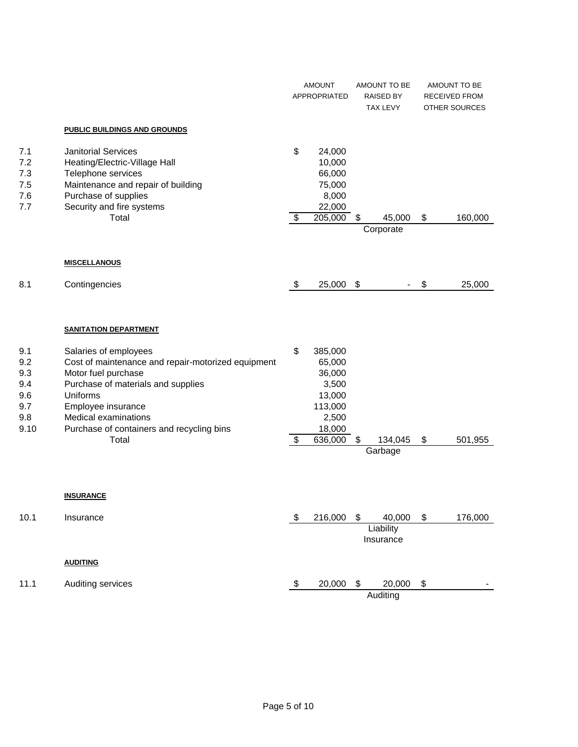|                                                       |                                                                                                                                                                                                                                                 | <b>AMOUNT</b><br>APPROPRIATED  |                                                                                    | AMOUNT TO BE<br><b>RAISED BY</b><br><b>TAX LEVY</b> |                                  | AMOUNT TO BE<br>RECEIVED FROM<br>OTHER SOURCES |
|-------------------------------------------------------|-------------------------------------------------------------------------------------------------------------------------------------------------------------------------------------------------------------------------------------------------|--------------------------------|------------------------------------------------------------------------------------|-----------------------------------------------------|----------------------------------|------------------------------------------------|
|                                                       | PUBLIC BUILDINGS AND GROUNDS                                                                                                                                                                                                                    |                                |                                                                                    |                                                     |                                  |                                                |
| 7.1<br>7.2<br>7.3<br>7.5<br>7.6<br>7.7                | <b>Janitorial Services</b><br>Heating/Electric-Village Hall<br>Telephone services<br>Maintenance and repair of building<br>Purchase of supplies<br>Security and fire systems<br>Total                                                           | \$<br>$\overline{\mathcal{S}}$ | 24,000<br>10,000<br>66,000<br>75,000<br>8,000<br>22,000<br>$\overline{205,000}$ \$ |                                                     | 45,000<br>Corporate              | \$<br>160,000                                  |
|                                                       | <b>MISCELLANOUS</b>                                                                                                                                                                                                                             |                                |                                                                                    |                                                     |                                  |                                                |
| 8.1                                                   | Contingencies                                                                                                                                                                                                                                   | \$                             | 25,000                                                                             | $\frac{1}{2}$                                       |                                  | \$<br>25,000                                   |
|                                                       | <b>SANITATION DEPARTMENT</b>                                                                                                                                                                                                                    |                                |                                                                                    |                                                     |                                  |                                                |
| 9.1<br>9.2<br>9.3<br>9.4<br>9.6<br>9.7<br>9.8<br>9.10 | Salaries of employees<br>Cost of maintenance and repair-motorized equipment<br>Motor fuel purchase<br>Purchase of materials and supplies<br>Uniforms<br>Employee insurance<br>Medical examinations<br>Purchase of containers and recycling bins | \$                             | 385,000<br>65,000<br>36,000<br>3,500<br>13,000<br>113,000<br>2,500<br>18,000       |                                                     |                                  |                                                |
|                                                       | Total                                                                                                                                                                                                                                           | \$                             | 636,000                                                                            | \$                                                  | 134,045<br>Garbage               | \$<br>501,955                                  |
| 10.1                                                  | <b>INSURANCE</b><br>Insurance                                                                                                                                                                                                                   | \$                             | 216,000                                                                            | \$                                                  | 40,000<br>Liability<br>Insurance | \$<br>176,000                                  |
|                                                       | <b>AUDITING</b>                                                                                                                                                                                                                                 |                                |                                                                                    |                                                     |                                  |                                                |
| 11.1                                                  | Auditing services                                                                                                                                                                                                                               | \$                             | 20,000                                                                             | \$                                                  | 20,000<br>Auditing               | \$                                             |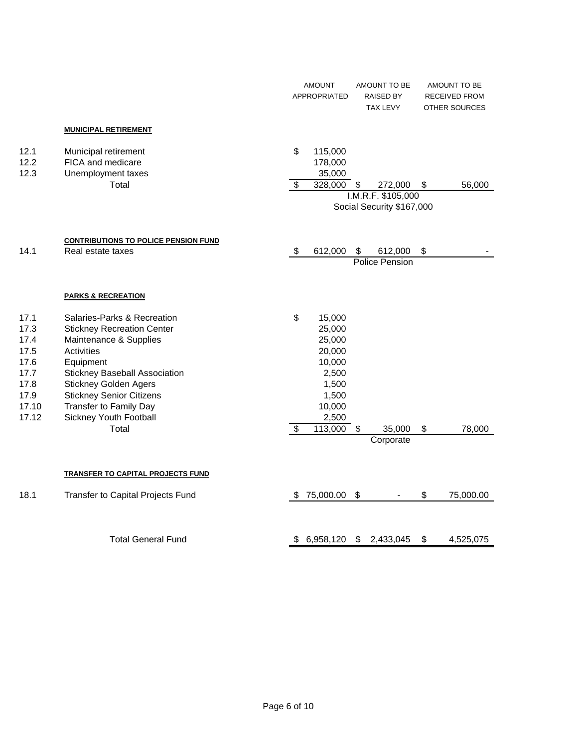|                                                                                |                                                                                                                                                                                                                                                                                                      |                                | <b>AMOUNT</b><br><b>APPROPRIATED</b>                                                                    |    | AMOUNT TO BE<br><b>RAISED BY</b><br><b>TAX LEVY</b>        |    | AMOUNT TO BE<br><b>RECEIVED FROM</b><br><b>OTHER SOURCES</b> |
|--------------------------------------------------------------------------------|------------------------------------------------------------------------------------------------------------------------------------------------------------------------------------------------------------------------------------------------------------------------------------------------------|--------------------------------|---------------------------------------------------------------------------------------------------------|----|------------------------------------------------------------|----|--------------------------------------------------------------|
|                                                                                | <b>MUNICIPAL RETIREMENT</b>                                                                                                                                                                                                                                                                          |                                |                                                                                                         |    |                                                            |    |                                                              |
| 12.1<br>12.2<br>12.3                                                           | Municipal retirement<br>FICA and medicare<br>Unemployment taxes<br>Total                                                                                                                                                                                                                             | \$<br>$\overline{\$}$          | 115,000<br>178,000<br>35,000<br>328,000                                                                 | \$ | 272,000<br>I.M.R.F. \$105,000<br>Social Security \$167,000 | \$ | 56,000                                                       |
| 14.1                                                                           | <b>CONTRIBUTIONS TO POLICE PENSION FUND</b><br>Real estate taxes                                                                                                                                                                                                                                     | \$                             | 612,000                                                                                                 | \$ | 612,000<br>Police Pension                                  | \$ |                                                              |
|                                                                                | <b>PARKS &amp; RECREATION</b>                                                                                                                                                                                                                                                                        |                                |                                                                                                         |    |                                                            |    |                                                              |
| 17.1<br>17.3<br>17.4<br>17.5<br>17.6<br>17.7<br>17.8<br>17.9<br>17.10<br>17.12 | Salaries-Parks & Recreation<br><b>Stickney Recreation Center</b><br>Maintenance & Supplies<br>Activities<br>Equipment<br><b>Stickney Baseball Association</b><br><b>Stickney Golden Agers</b><br><b>Stickney Senior Citizens</b><br><b>Transfer to Family Day</b><br>Sickney Youth Football<br>Total | \$<br>$\overline{\mathcal{S}}$ | 15,000<br>25,000<br>25,000<br>20,000<br>10,000<br>2,500<br>1,500<br>1,500<br>10,000<br>2,500<br>113,000 | \$ | 35,000<br>Corporate                                        | \$ | 78,000                                                       |
|                                                                                | <b>TRANSFER TO CAPITAL PROJECTS FUND</b>                                                                                                                                                                                                                                                             |                                |                                                                                                         |    |                                                            |    |                                                              |
| 18.1                                                                           | Transfer to Capital Projects Fund                                                                                                                                                                                                                                                                    | S.                             | 75,000.00                                                                                               | \$ |                                                            | \$ | 75,000.00                                                    |
|                                                                                | <b>Total General Fund</b>                                                                                                                                                                                                                                                                            | \$                             | 6,958,120                                                                                               | \$ | 2,433,045                                                  | \$ | 4,525,075                                                    |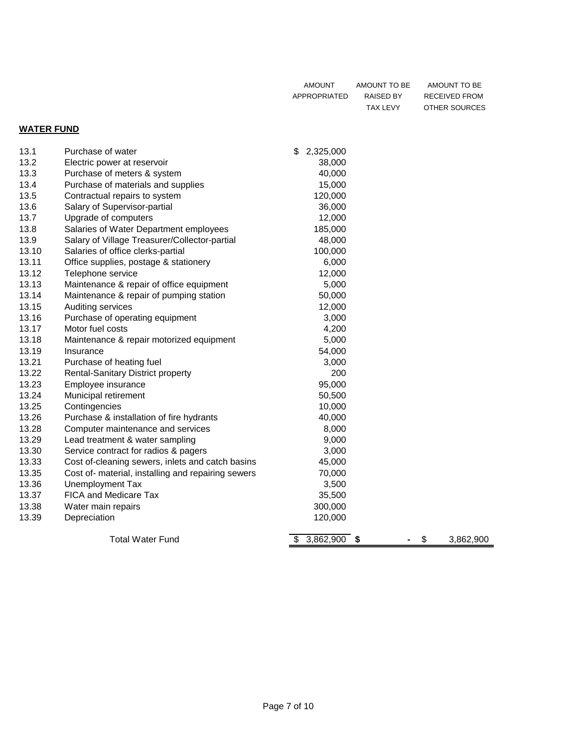| AMOUNT       | AMOUNT TO BE | AMOUNT TO BE  |
|--------------|--------------|---------------|
| APPROPRIATED | RAISED BY    | RECEIVED FROM |
|              | TAX LEVY     | OTHER SOURCES |

### **WATER FUND**

| 13.1  | Purchase of water                                  | \$<br>2,325,000      |                 |
|-------|----------------------------------------------------|----------------------|-----------------|
| 13.2  | Electric power at reservoir                        | 38,000               |                 |
| 13.3  | Purchase of meters & system                        | 40,000               |                 |
| 13.4  | Purchase of materials and supplies                 | 15,000               |                 |
| 13.5  | Contractual repairs to system                      | 120,000              |                 |
| 13.6  | Salary of Supervisor-partial                       | 36,000               |                 |
| 13.7  | Upgrade of computers                               | 12,000               |                 |
| 13.8  | Salaries of Water Department employees             | 185,000              |                 |
| 13.9  | Salary of Village Treasurer/Collector-partial      | 48,000               |                 |
| 13.10 | Salaries of office clerks-partial                  | 100,000              |                 |
| 13.11 | Office supplies, postage & stationery              | 6,000                |                 |
| 13.12 | Telephone service                                  | 12,000               |                 |
| 13.13 | Maintenance & repair of office equipment           | 5,000                |                 |
| 13.14 | Maintenance & repair of pumping station            | 50,000               |                 |
| 13.15 | Auditing services                                  | 12,000               |                 |
| 13.16 | Purchase of operating equipment                    | 3,000                |                 |
| 13.17 | Motor fuel costs                                   | 4,200                |                 |
| 13.18 | Maintenance & repair motorized equipment           | 5,000                |                 |
| 13.19 | Insurance                                          | 54,000               |                 |
| 13.21 | Purchase of heating fuel                           | 3,000                |                 |
| 13.22 | <b>Rental-Sanitary District property</b>           | 200                  |                 |
| 13.23 | Employee insurance                                 | 95,000               |                 |
| 13.24 | Municipal retirement                               | 50,500               |                 |
| 13.25 | Contingencies                                      | 10,000               |                 |
| 13.26 | Purchase & installation of fire hydrants           | 40,000               |                 |
| 13.28 | Computer maintenance and services                  | 8,000                |                 |
| 13.29 | Lead treatment & water sampling                    | 9,000                |                 |
| 13.30 | Service contract for radios & pagers               | 3,000                |                 |
| 13.33 | Cost of-cleaning sewers, inlets and catch basins   | 45,000               |                 |
| 13.35 | Cost of- material, installing and repairing sewers | 70,000               |                 |
| 13.36 | Unemployment Tax                                   | 3,500                |                 |
| 13.37 | <b>FICA and Medicare Tax</b>                       | 35,500               |                 |
| 13.38 | Water main repairs                                 | 300,000              |                 |
| 13.39 | Depreciation                                       | 120,000              |                 |
|       | <b>Total Water Fund</b>                            | $3,862,900$ \$<br>\$ | \$<br>3,862,900 |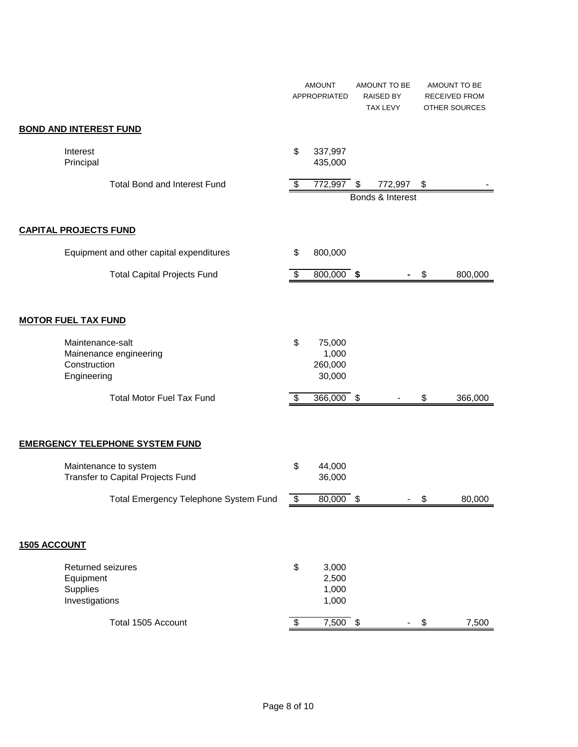|                     |                                                                           | <b>AMOUNT</b><br>APPROPRIATED |                                      | AMOUNT TO BE<br><b>RAISED BY</b><br><b>TAX LEVY</b> |    | AMOUNT TO BE<br><b>RECEIVED FROM</b><br><b>OTHER SOURCES</b> |
|---------------------|---------------------------------------------------------------------------|-------------------------------|--------------------------------------|-----------------------------------------------------|----|--------------------------------------------------------------|
|                     | <b>BOND AND INTEREST FUND</b>                                             |                               |                                      |                                                     |    |                                                              |
|                     | Interest<br>Principal                                                     | \$                            | 337,997<br>435,000                   |                                                     |    |                                                              |
|                     | <b>Total Bond and Interest Fund</b>                                       | \$                            | $772,997$ \$                         | 772,997<br>Bonds & Interest                         | \$ |                                                              |
|                     |                                                                           |                               |                                      |                                                     |    |                                                              |
|                     | <b>CAPITAL PROJECTS FUND</b>                                              |                               |                                      |                                                     |    |                                                              |
|                     | Equipment and other capital expenditures                                  | \$                            | 800,000                              |                                                     |    |                                                              |
|                     | <b>Total Capital Projects Fund</b>                                        | \$                            | 800,000 \$                           |                                                     | \$ | 800,000                                                      |
|                     | <b>MOTOR FUEL TAX FUND</b>                                                |                               |                                      |                                                     |    |                                                              |
|                     | Maintenance-salt<br>Mainenance engineering<br>Construction<br>Engineering | \$                            | 75,000<br>1,000<br>260,000<br>30,000 |                                                     |    |                                                              |
|                     | <b>Total Motor Fuel Tax Fund</b>                                          | \$                            | 366,000 \$                           |                                                     | \$ | 366,000                                                      |
|                     | <b>EMERGENCY TELEPHONE SYSTEM FUND</b>                                    |                               |                                      |                                                     |    |                                                              |
|                     | Maintenance to system<br>Transfer to Capital Projects Fund                | \$                            | 44,000<br>36,000                     |                                                     |    |                                                              |
|                     | Total Emergency Telephone System Fund                                     | \$                            | 80,000                               | \$                                                  | \$ | 80,000                                                       |
| <b>1505 ACCOUNT</b> |                                                                           |                               |                                      |                                                     |    |                                                              |
|                     | Returned seizures<br>Equipment<br>Supplies<br>Investigations              | \$                            | 3,000<br>2,500<br>1,000<br>1,000     |                                                     |    |                                                              |
|                     | Total 1505 Account                                                        | $\overline{\mathcal{S}}$      | $7,500$ \$                           | $\blacksquare$                                      | \$ | 7,500                                                        |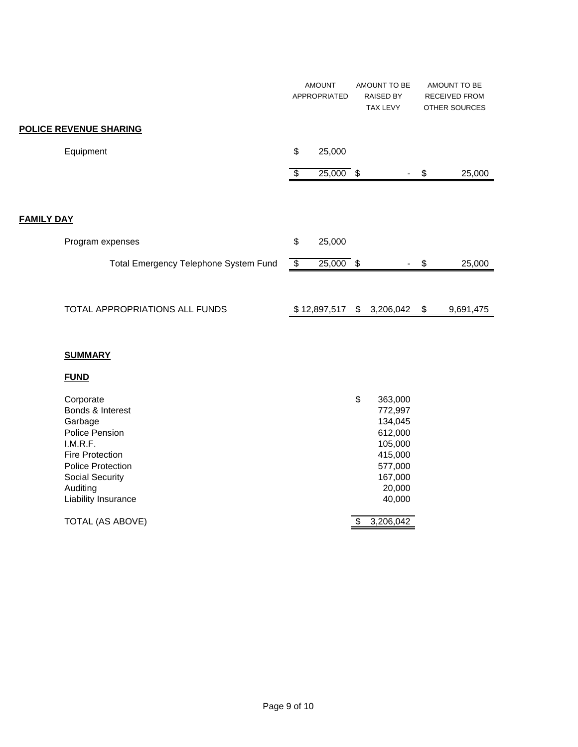|                                       |      | <b>AMOUNT</b><br>APPROPRIATED | AMOUNT TO BE<br><b>RAISED BY</b><br><b>TAX LEVY</b> |    | AMOUNT TO BE<br><b>RECEIVED FROM</b><br><b>OTHER SOURCES</b> |
|---------------------------------------|------|-------------------------------|-----------------------------------------------------|----|--------------------------------------------------------------|
| <b>POLICE REVENUE SHARING</b>         |      |                               |                                                     |    |                                                              |
| Equipment                             | \$   | 25,000                        |                                                     |    |                                                              |
|                                       | - \$ | $25,000$ \$                   |                                                     | S  | 25,000                                                       |
|                                       |      |                               |                                                     |    |                                                              |
| <b>FAMILY DAY</b>                     |      |                               |                                                     |    |                                                              |
| Program expenses                      | \$   | 25,000                        |                                                     |    |                                                              |
| Total Emergency Telephone System Fund | \$   | $25,000$ \$                   |                                                     | S  | 25,000                                                       |
|                                       |      |                               |                                                     |    |                                                              |
| TOTAL APPROPRIATIONS ALL FUNDS        |      | \$12,897,517                  | \$<br>3,206,042                                     | \$ | 9,691,475                                                    |

#### **SUMMARY**

### **FUND**

| Corporate<br>Bonds & Interest<br>Garbage<br>Police Pension<br>I.M.R.F.<br><b>Fire Protection</b><br><b>Police Protection</b><br><b>Social Security</b><br>Auditing | \$<br>363,000<br>772,997<br>134,045<br>612,000<br>105,000<br>415,000<br>577,000<br>167,000<br>20,000 |
|--------------------------------------------------------------------------------------------------------------------------------------------------------------------|------------------------------------------------------------------------------------------------------|
| Liability Insurance                                                                                                                                                | 40,000                                                                                               |
| TOTAL (AS ABOVE)                                                                                                                                                   | 3,206,042                                                                                            |